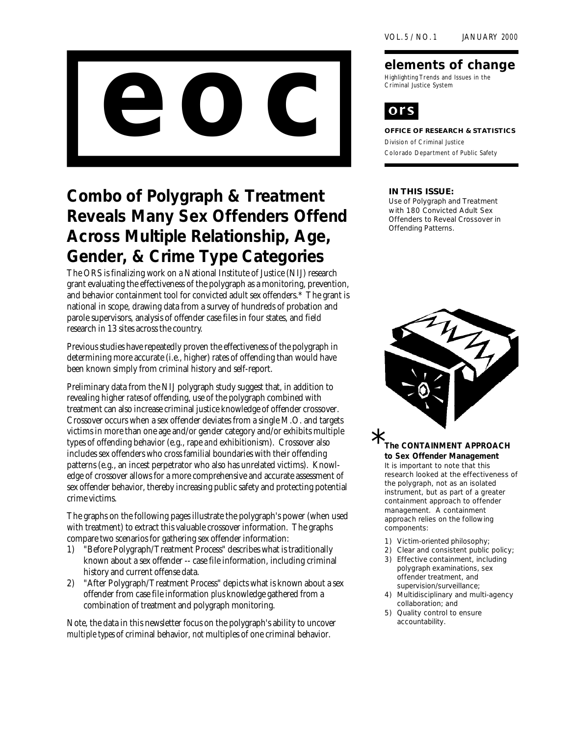

# *Combo of Polygraph & Treatment Reveals Many Sex Offenders Offend Across Multiple Relationship, Age, Gender, & Crime Type Categories*

The ORS is finalizing work on a National Institute of Justice (NIJ) research grant evaluating the effectiveness of the polygraph as a monitoring, prevention, and behavior containment tool for convicted adult sex offenders.\* The grant is national in scope, drawing data from a survey of hundreds of probation and parole supervisors, analysis of offender case files in four states, and field research in 13 sites across the country.

Previous studies have repeatedly proven the effectiveness of the polygraph in determining more accurate (i.e., higher) rates of offending than would have been known simply from criminal history and self-report.

Preliminary data from the NIJ polygraph study suggest that, in addition to revealing higher *rates* of offending, use of the polygraph combined with treatment can also increase criminal justice knowledge of offender **crossover**. Crossover occurs when a sex offender deviates from a single M.O. and targets victims in more than one age and/or gender category and/or exhibits multiple types of offending behavior (e.g., rape *and* exhibitionism). Crossover also includes sex offenders who cross familial boundaries with their offending patterns (e.g., an incest perpetrator who also has unrelated victims). Knowledge of crossover allows for a more comprehensive and accurate assessment of sex offender behavior, thereby increasing public safety and protecting potential crime victims.

The graphs on the following pages illustrate the polygraph's power (when used with treatment) to extract this valuable crossover information. The graphs compare two scenarios for gathering sex offender information:

- 1) "**Before Polygraph/Treatment Process**" describes what is traditionally known about a sex offender -- case file information, including criminal history and current offense data.
- 2) "**After Polygraph/Treatment Process**" depicts what is known about a sex offender from case file information *plus* knowledge gathered from a combination of treatment and polygraph monitoring.

Note, the data in this newsletter focus on the polygraph's ability to uncover *multiple types* of criminal behavior, *not* multiples of one criminal behavior.

#### **elements of change**

Highlighting Trends and Issues in the Criminal Justice System



#### **OFFICE OF RESEARCH & STATISTICS**

Division of Criminal Justice Colorado Department of Public Safety

#### **IN THIS ISSUE:**

Use of Polygraph and Treatment with 180 Convicted Adult Sex Offenders to Reveal Crossover in Offending Patterns.



*The CONTAINMENT APPROACH to Sex Offender Management It is important to note that this research looked at the effectiveness of the polygraph, not as an isolated instrument, but as part of a greater containment approach to offender management. A containment approach relies on the following components:*  $\star_{\pi}$ 

- *1) Victim-oriented philosophy;*
- *2) Clear and consistent public policy;*
- *3) Effective containment, including polygraph examinations, sex offender treatment, and supervision/surveillance;*
- *4) Multidisciplinary and multi-agency collaboration; and*
- *5) Quality control to ensure accountability.*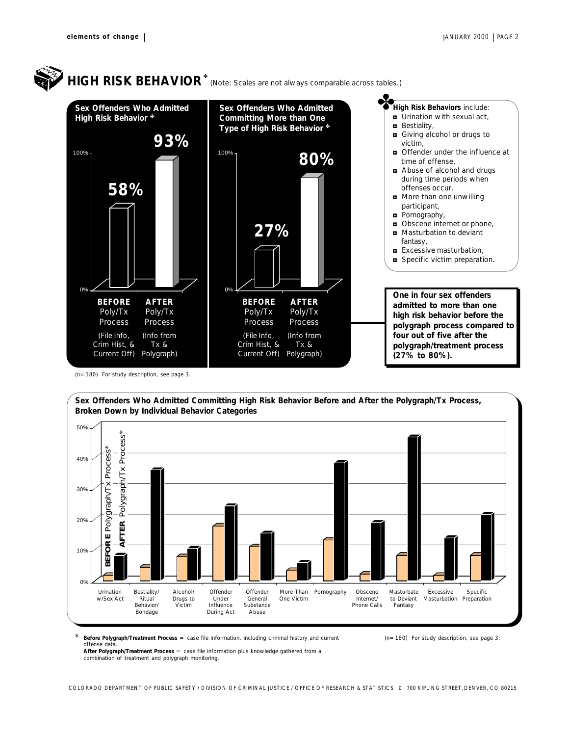

(n=180) For study description, see page 3.

*Sex Offenders Who Admitted Committing High Risk Behavior Before and After the Polygraph/Tx Process, Broken Down by Individual Behavior Categories* 50%



**Before Polygraph/Treatment Process** = case file information, including criminal history and current offense data.

(n=180) For study description, see page 3.

**After Polygraph/Treatment Process** = case file information *plus* knowledge gathered from a combination of treatment and polygraph monitoring.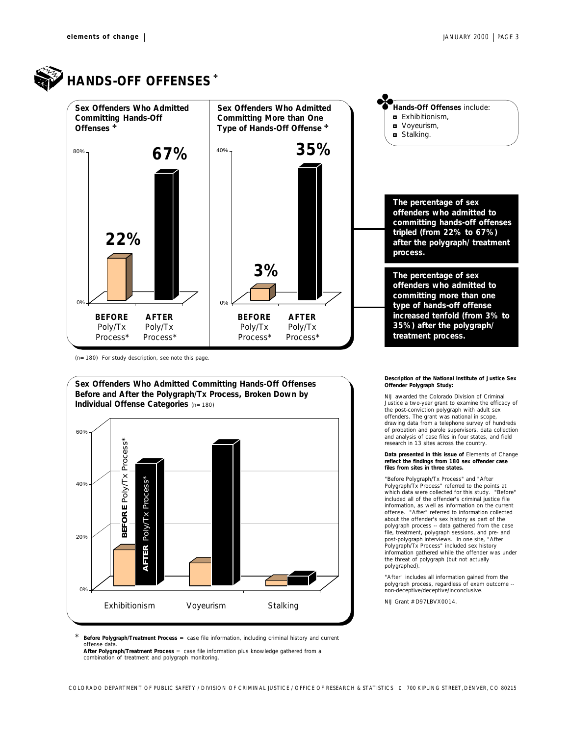

## **HANDS-OFF OFFENSES\***



(n=180) For study description, see note this page.



**Description of the National Institute of Justice Sex Offender Polygraph Study:**

NIJ awarded the Colorado Division of Criminal Justice a two-year grant to examine the efficacy of the post-conviction polygraph with adult sex offenders. The grant was national in scope, drawing data from a telephone survey of hundreds of probation and parole supervisors, data collection and analysis of case files in four states, and field research in 13 sites across the country.

#### **Data presented in this issue of** *Elements of Change* **reflect the findings from 180 sex offender case files from sites in three states.**

"Before Polygraph/Tx Process" and "After Polygraph/Tx Process" referred to the points at which data were collected for this study. "Before" included all of the offender's criminal justice file information, as well as information on the current offense. "After" referred to information collected about the offender's sex history as part of the polygraph process -- data gathered from the case file, treatment, polygraph sessions, and pre- and post-polygraph interviews. In one site, "After Polygraph/Tx Process" included sex history information gathered while the offender was under the threat of polygraph (but not actually polygraphed).

"After" includes all information gained from the polygraph process, regardless of exam outcome - non-deceptive/deceptive/inconclusive.

NIJ Grant # D97LBVX0014.

\* **Before Polygraph/Treatment Process** = case file information, including criminal history and current offense data. **After Polygraph/Treatment Process** = case file information *plus* knowledge gathered from a

combination of treatment and polygraph monitoring.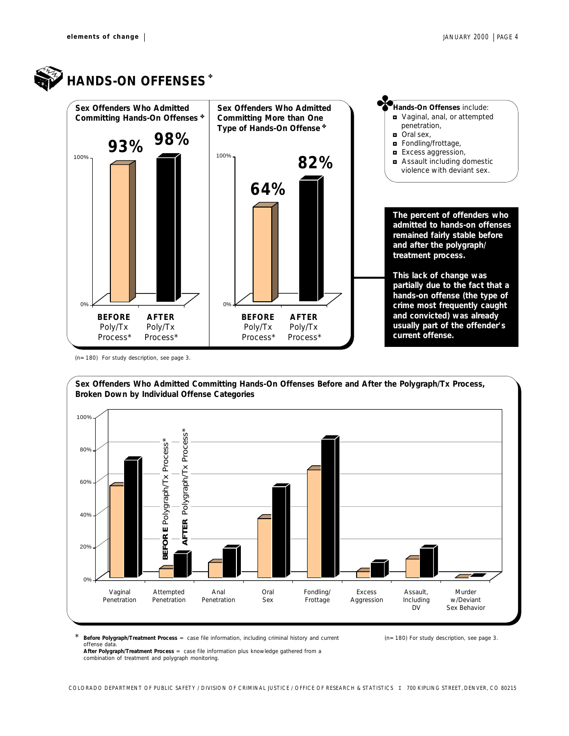

**HANDS-ON OFFENSES\*** 



(n=180) For study description, see page 3.



\* **Before Polygraph/Treatment Process** = case file information, including criminal history and current (n=180) For study description, see page 3. offense data.

**After Polygraph/Treatment Process** = case file information *plus* knowledge gathered from a combination of treatment and polygraph monitoring.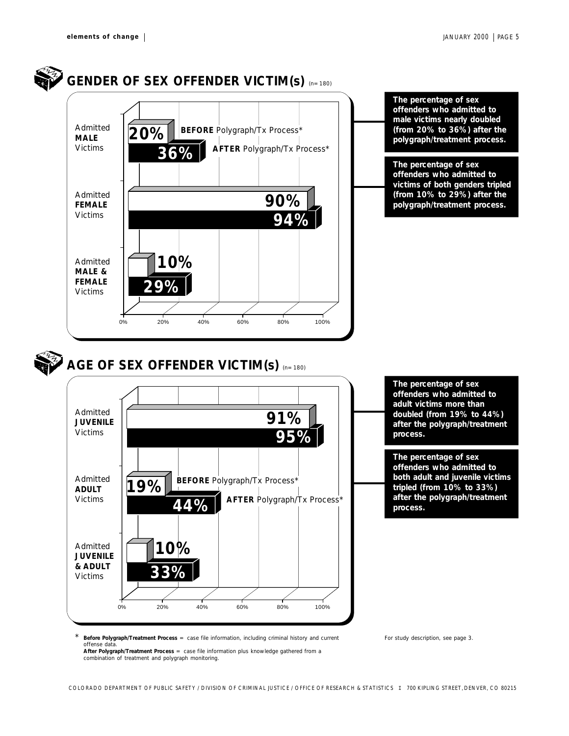

\* **Before Polygraph/Treatment Process** = case file information, including criminal history and current offense data. **After Polygraph/Treatment Process** = case file information *plus* knowledge gathered from a

combination of treatment and polygraph monitoring.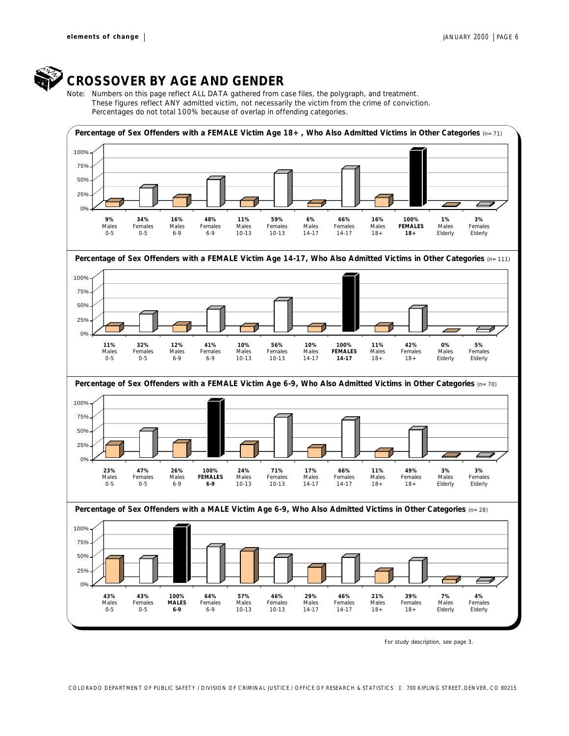

### *CROSSOVER BY AGE AND GENDER*

*Note: Numbers on this page reflect ALL DATA gathered from case files, the polygraph, and treatment. These figures reflect ANY admitted victim, not necessarily the victim from the crime of conviction. Percentages do not total 100% because of overlap in offending categories.*



For study description, see page 3.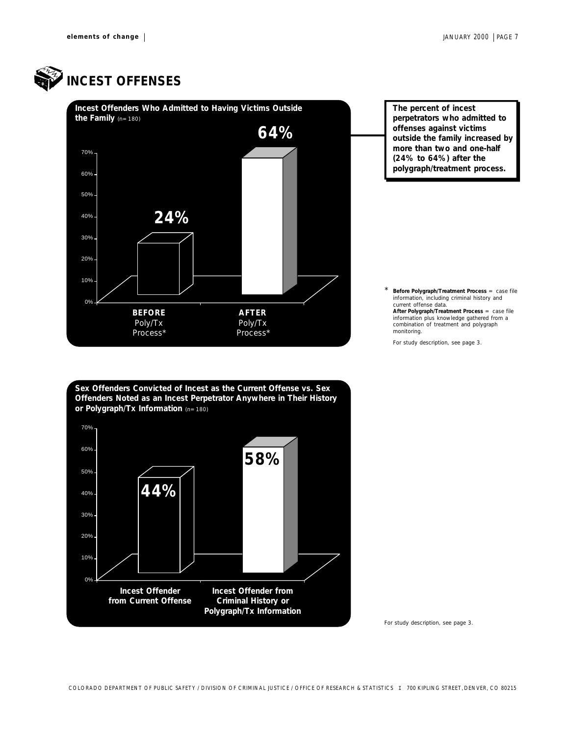

## *INCEST OFFENSES*



*Sex Offenders Convicted of Incest as the Current Offense vs. Sex Offenders Noted as an Incest Perpetrator Anywhere in Their History or Polygraph/Tx Information* (n=180)



*The percent of incest perpetrators who admitted to offenses against victims outside the family increased by more than two and one-half (24% to 64%) after the polygraph/treatment process.*

\* **Before Polygraph/Treatment Process** = case file information, including criminal history and current offense data. **After Polygraph/Treatment Process** = case file

information *plus* knowledge gathered from a combination *photometers* of the combination of treatment and polygraph monitoring.

For study description, see page 3.

For study description, see page 3.